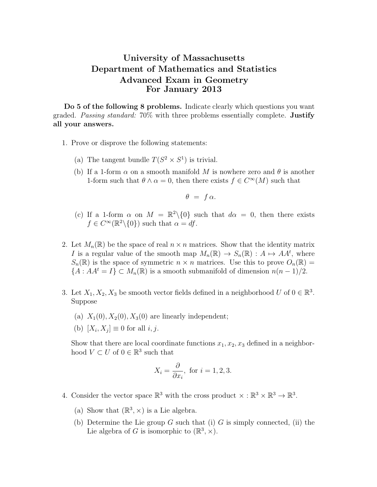## University of Massachusetts Department of Mathematics and Statistics Advanced Exam in Geometry For January 2013

Do 5 of the following 8 problems. Indicate clearly which questions you want graded. Passing standard: 70% with three problems essentially complete. Justify all your answers.

- 1. Prove or disprove the following statements:
	- (a) The tangent bundle  $T(S^2 \times S^1)$  is trivial.
	- (b) If a 1-form  $\alpha$  on a smooth manifold M is nowhere zero and  $\theta$  is another 1-form such that  $\theta \wedge \alpha = 0$ , then there exists  $f \in C^{\infty}(M)$  such that

$$
\theta = f \alpha.
$$

- (c) If a 1-form  $\alpha$  on  $M = \mathbb{R}^2 \setminus \{0\}$  such that  $d\alpha = 0$ , then there exists  $f \in C^{\infty}(\mathbb{R}^2 \setminus \{0\})$  such that  $\alpha = df$ .
- 2. Let  $M_n(\mathbb{R})$  be the space of real  $n \times n$  matrices. Show that the identity matrix I is a regular value of the smooth map  $M_n(\mathbb{R}) \to S_n(\mathbb{R}) : A \mapsto AA^t$ , where  $S_n(\mathbb{R})$  is the space of symmetric  $n \times n$  matrices. Use this to prove  $O_n(\mathbb{R}) =$  ${A : A A^t = I} \subset M_n(\mathbb{R})$  is a smooth submanifold of dimension  $n(n-1)/2$ .
- 3. Let  $X_1, X_2, X_3$  be smooth vector fields defined in a neighborhood U of  $0 \in \mathbb{R}^3$ . Suppose
	- (a)  $X_1(0), X_2(0), X_3(0)$  are linearly independent;
	- (b)  $[X_i, X_j] \equiv 0$  for all  $i, j$ .

Show that there are local coordinate functions  $x_1, x_2, x_3$  defined in a neighborhood  $V \subset U$  of  $0 \in \mathbb{R}^3$  such that

$$
X_i = \frac{\partial}{\partial x_i}, \text{ for } i = 1, 2, 3.
$$

- 4. Consider the vector space  $\mathbb{R}^3$  with the cross product  $\times : \mathbb{R}^3 \times \mathbb{R}^3 \to \mathbb{R}^3$ .
	- (a) Show that  $(\mathbb{R}^3, \times)$  is a Lie algebra.
	- (b) Determine the Lie group  $G$  such that (i)  $G$  is simply connected, (ii) the Lie algebra of G is isomorphic to  $(\mathbb{R}^3, \times)$ .